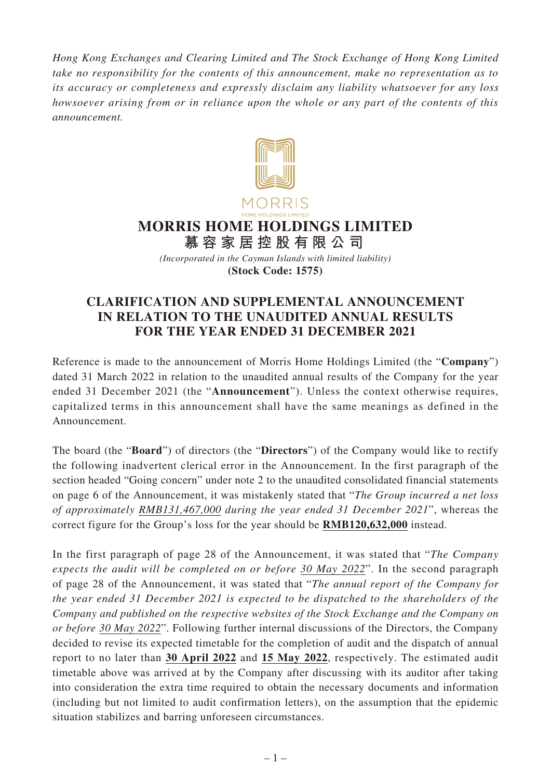*Hong Kong Exchanges and Clearing Limited and The Stock Exchange of Hong Kong Limited take no responsibility for the contents of this announcement, make no representation as to its accuracy or completeness and expressly disclaim any liability whatsoever for any loss howsoever arising from or in reliance upon the whole or any part of the contents of this announcement.*



*(Incorporated in the Cayman Islands with limited liability)* **(Stock Code: 1575)**

## **CLARIFICATION AND SUPPLEMENTAL ANNOUNCEMENT IN RELATION TO THE UNAUDITED ANNUAL RESULTS FOR THE YEAR ENDED 31 DECEMBER 2021**

Reference is made to the announcement of Morris Home Holdings Limited (the "**Company**") dated 31 March 2022 in relation to the unaudited annual results of the Company for the year ended 31 December 2021 (the "**Announcement**"). Unless the context otherwise requires, capitalized terms in this announcement shall have the same meanings as defined in the Announcement.

The board (the "**Board**") of directors (the "**Directors**") of the Company would like to rectify the following inadvertent clerical error in the Announcement. In the first paragraph of the section headed "Going concern" under note 2 to the unaudited consolidated financial statements on page 6 of the Announcement, it was mistakenly stated that "*The Group incurred a net loss of approximately RMB131,467,000 during the year ended 31 December 2021*", whereas the correct figure for the Group's loss for the year should be **RMB120,632,000** instead.

In the first paragraph of page 28 of the Announcement, it was stated that "*The Company expects the audit will be completed on or before 30 May 2022*". In the second paragraph of page 28 of the Announcement, it was stated that "*The annual report of the Company for the year ended 31 December 2021 is expected to be dispatched to the shareholders of the Company and published on the respective websites of the Stock Exchange and the Company on or before 30 May 2022*". Following further internal discussions of the Directors, the Company decided to revise its expected timetable for the completion of audit and the dispatch of annual report to no later than **30 April 2022** and **15 May 2022**, respectively. The estimated audit timetable above was arrived at by the Company after discussing with its auditor after taking into consideration the extra time required to obtain the necessary documents and information (including but not limited to audit confirmation letters), on the assumption that the epidemic situation stabilizes and barring unforeseen circumstances.